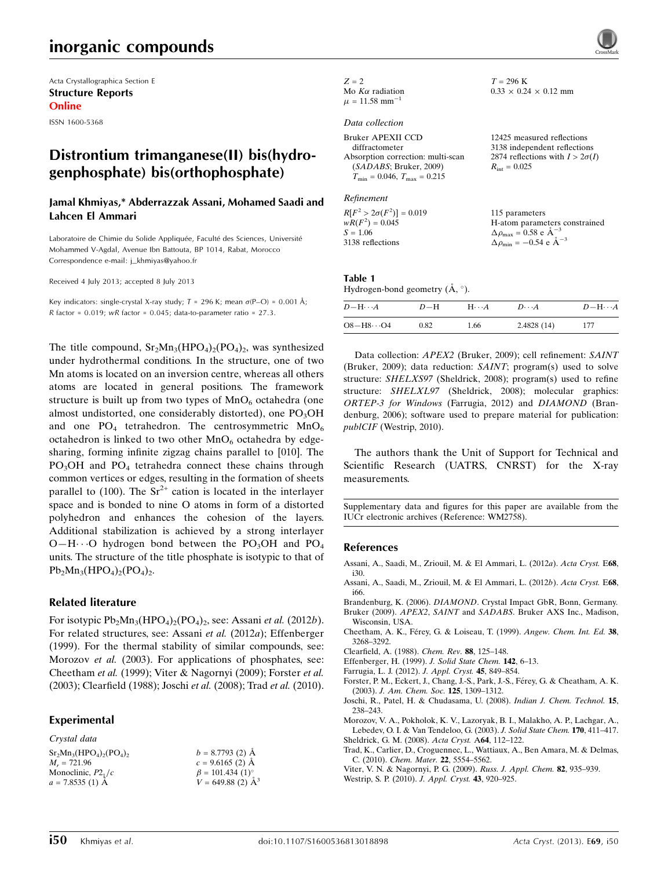# inorganic compounds

Acta Crystallographica Section E Structure Reports Online

ISSN 1600-5368

## Distrontium trimanganese(II) bis(hydrogenphosphate) bis(orthophosphate)

#### Jamal Khmiyas,\* Abderrazzak Assani, Mohamed Saadi and Lahcen El Ammari

Laboratoire de Chimie du Solide Appliquée, Faculté des Sciences, Université Mohammed V-Agdal, Avenue Ibn Battouta, BP 1014, Rabat, Morocco Correspondence e-mail: [j\\_khmiyas@yahoo.fr](https://scripts.iucr.org/cgi-bin/cr.cgi?rm=pdfbb&cnor=wm2758&bbid=BB15)

Received 4 July 2013; accepted 8 July 2013

Key indicators: single-crystal X-ray study;  $T = 296$  K; mean  $\sigma$ (P-O) = 0.001 Å;  $R$  factor = 0.019; wR factor = 0.045; data-to-parameter ratio = 27.3.

The title compound,  $Sr_2Mn_3(HPO_4)_2(PO_4)_2$ , was synthesized under hydrothermal conditions. In the structure, one of two Mn atoms is located on an inversion centre, whereas all others atoms are located in general positions. The framework structure is built up from two types of  $MnO<sub>6</sub>$  octahedra (one almost undistorted, one considerably distorted), one  $PO<sub>3</sub>OH$ and one  $PO_4$  tetrahedron. The centrosymmetric  $MnO_6$ octahedron is linked to two other  $MnO<sub>6</sub>$  octahedra by edgesharing, forming infinite zigzag chains parallel to [010]. The  $PO<sub>3</sub>OH$  and  $PO<sub>4</sub>$  tetrahedra connect these chains through common vertices or edges, resulting in the formation of sheets parallel to (100). The  $Sr^{2+}$  cation is located in the interlayer space and is bonded to nine O atoms in form of a distorted polyhedron and enhances the cohesion of the layers. Additional stabilization is achieved by a strong interlayer  $O-H\cdots O$  hydrogen bond between the PO<sub>3</sub>OH and PO<sub>4</sub> units. The structure of the title phosphate is isotypic to that of  $Pb_2Mn_3(HPO_4)_2(PO_4)_2.$ 

#### Related literature

For isotypic  $Pb_2Mn_3(HPO_4)_2(PO_4)_2$ , see: Assani et al. (2012b). For related structures, see: Assani et al. (2012a); Effenberger (1999). For the thermal stability of similar compounds, see: Morozov *et al.* (2003). For applications of phosphates, see: Cheetham et al. (1999); Viter & Nagornyi (2009); Forster et al. (2003); Clearfield (1988); Joschi et al. (2008); Trad et al. (2010).

#### Experimental

Crystal data  $Sr<sub>2</sub>Mn<sub>3</sub>(HPO<sub>4</sub>)<sub>2</sub>(PO<sub>4</sub>)<sub>2</sub>$  $M<sub>r</sub> = 721.96$ Monoclinic,  $P2<sub>1</sub>/c$  $a = 7.8535(1)$  Å  $b = 8.7793$  (2)  $\AA$  $c = 9.6165$  (2) Å  $\beta = 101.434$  (1)<sup>o</sup>  $V = 649.88(2)$   $\AA^3$ 

| $Z = 2$                        |
|--------------------------------|
| Mo $K\alpha$ radiation         |
| $\mu = 11.58$ mm <sup>-1</sup> |

#### Data collection

| 12425 measured reflections             |
|----------------------------------------|
| 3138 independent reflections           |
| 2874 reflections with $I > 2\sigma(I)$ |
| $R_{\rm int} = 0.025$                  |
|                                        |
|                                        |
|                                        |

#### Refinement

 $R[F^2 > 2\sigma(F^2)] = 0.019$  $wR(F^2) = 0.045$  $S = 1.06$ 3138 reflections 115 parameters H-atom parameters constrained  $\Delta \rho_{\text{max}} = 0.58 \text{ e A}^{-3}$  $\Delta \rho_{\rm min} = -0.54 \text{ e } \text{\AA}^{-3}$ 

 $T = 296$  K

 $0.33 \times 0.24 \times 0.12$  mm

#### Table 1 Hydrogen-bond geometry  $(\mathring{A}, \degree)$ .

| $D - H \cdots A$    | $D-H$ | $H\cdots A$ | $D\cdots A$ | $D - H \cdots A$ |
|---------------------|-------|-------------|-------------|------------------|
| $O8 - H8 \cdots O4$ | 0.82  | 1.66        | 2.4828(14)  | 177              |

Data collection: APEX2 (Bruker, 2009); cell refinement: SAINT (Bruker, 2009); data reduction: SAINT; program(s) used to solve structure: SHELXS97 (Sheldrick, 2008); program(s) used to refine structure: SHELXL97 (Sheldrick, 2008); molecular graphics: ORTEP-3 for Windows (Farrugia, 2012) and DIAMOND (Brandenburg, 2006); software used to prepare material for publication: publCIF (Westrip, 2010).

The authors thank the Unit of Support for Technical and Scientific Research (UATRS, CNRST) for the X-ray measurements.

Supplementary data and figures for this paper are available from the IUCr electronic archives (Reference: WM2758).

#### References

- [Assani, A., Saadi, M., Zriouil, M. & El Ammari, L. \(2012](https://scripts.iucr.org/cgi-bin/cr.cgi?rm=pdfbb&cnor=wm2758&bbid=BB1)a). Acta Cryst. E68, [i30.](https://scripts.iucr.org/cgi-bin/cr.cgi?rm=pdfbb&cnor=wm2758&bbid=BB1)
- [Assani, A., Saadi, M., Zriouil, M. & El Ammari, L. \(2012](https://scripts.iucr.org/cgi-bin/cr.cgi?rm=pdfbb&cnor=wm2758&bbid=BB2)b). Acta Cryst. E68, [i66.](https://scripts.iucr.org/cgi-bin/cr.cgi?rm=pdfbb&cnor=wm2758&bbid=BB2)
- Brandenburg, K. (2006). DIAMOND[. Crystal Impact GbR, Bonn, Germany.](https://scripts.iucr.org/cgi-bin/cr.cgi?rm=pdfbb&cnor=wm2758&bbid=BB3) Bruker (2009). APEX2, SAINT and SADABS[. Bruker AXS Inc., Madison,](https://scripts.iucr.org/cgi-bin/cr.cgi?rm=pdfbb&cnor=wm2758&bbid=BB4)
- [Wisconsin, USA.](https://scripts.iucr.org/cgi-bin/cr.cgi?rm=pdfbb&cnor=wm2758&bbid=BB4) Cheetham, A. K., Férey, G. & Loiseau, T. (1999). Angew. Chem. Int. Ed. 38, [3268–3292.](https://scripts.iucr.org/cgi-bin/cr.cgi?rm=pdfbb&cnor=wm2758&bbid=BB5)
- [Clearfield, A. \(1988\).](https://scripts.iucr.org/cgi-bin/cr.cgi?rm=pdfbb&cnor=wm2758&bbid=BB6) Chem. Rev. 88, 125–148.
- [Effenberger, H. \(1999\).](https://scripts.iucr.org/cgi-bin/cr.cgi?rm=pdfbb&cnor=wm2758&bbid=BB7) J. Solid State Chem. 142, 6–13.
- [Farrugia, L. J. \(2012\).](https://scripts.iucr.org/cgi-bin/cr.cgi?rm=pdfbb&cnor=wm2758&bbid=BB8) J. Appl. Cryst. 45, 849–854.
- Forster, P. M., Eckert, J., Chang, J.-S., Park, J.-S., Férey, G. & Cheatham, A. K. (2003). [J. Am. Chem. Soc.](https://scripts.iucr.org/cgi-bin/cr.cgi?rm=pdfbb&cnor=wm2758&bbid=BB9) 125, 1309–1312.
- [Joschi, R., Patel, H. & Chudasama, U. \(2008\).](https://scripts.iucr.org/cgi-bin/cr.cgi?rm=pdfbb&cnor=wm2758&bbid=BB10) Indian J. Chem. Technol. 15, [238–243.](https://scripts.iucr.org/cgi-bin/cr.cgi?rm=pdfbb&cnor=wm2758&bbid=BB10)
- [Morozov, V. A., Pokholok, K. V., Lazoryak, B. I., Malakho, A. P., Lachgar, A.,](https://scripts.iucr.org/cgi-bin/cr.cgi?rm=pdfbb&cnor=wm2758&bbid=BB11) [Lebedev, O. I. & Van Tendeloo, G. \(2003\).](https://scripts.iucr.org/cgi-bin/cr.cgi?rm=pdfbb&cnor=wm2758&bbid=BB11) J. Solid State Chem. 170, 411–417. [Sheldrick, G. M. \(2008\).](https://scripts.iucr.org/cgi-bin/cr.cgi?rm=pdfbb&cnor=wm2758&bbid=BB12) Acta Cryst. A64, 112–122.
- [Trad, K., Carlier, D., Croguennec, L., Wattiaux, A., Ben Amara, M. & Delmas,](https://scripts.iucr.org/cgi-bin/cr.cgi?rm=pdfbb&cnor=wm2758&bbid=BB13) C. (2010). [Chem. Mater.](https://scripts.iucr.org/cgi-bin/cr.cgi?rm=pdfbb&cnor=wm2758&bbid=BB13) 22, 5554–5562.
- [Viter, V. N. & Nagornyi, P. G. \(2009\).](https://scripts.iucr.org/cgi-bin/cr.cgi?rm=pdfbb&cnor=wm2758&bbid=BB14) Russ. J. Appl. Chem. 82, 935–939.
- [Westrip, S. P. \(2010\).](https://scripts.iucr.org/cgi-bin/cr.cgi?rm=pdfbb&cnor=wm2758&bbid=BB15) J. Appl. Cryst. 43, 920–925.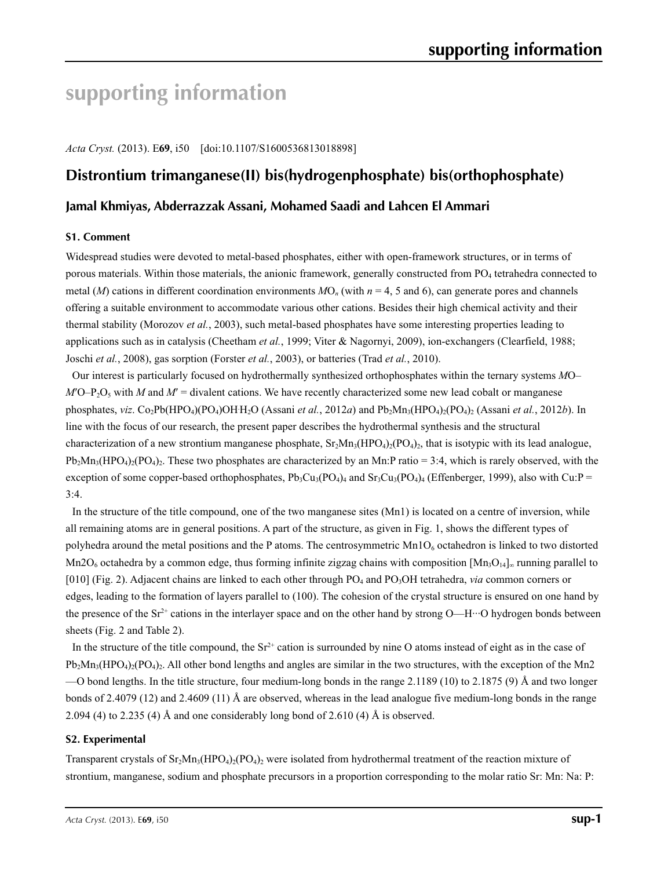# **supporting information**

*Acta Cryst.* (2013). E**69**, i50 [doi:10.1107/S1600536813018898]

## **Distrontium trimanganese(II) bis(hydrogenphosphate) bis(orthophosphate)**

### **Jamal Khmiyas, Abderrazzak Assani, Mohamed Saadi and Lahcen El Ammari**

#### **S1. Comment**

Widespread studies were devoted to metal-based phosphates, either with open-framework structures, or in terms of porous materials. Within those materials, the anionic framework, generally constructed from PO<sub>4</sub> tetrahedra connected to metal (*M*) cations in different coordination environments  $MO_n$  (with  $n = 4, 5$  and 6), can generate pores and channels offering a suitable environment to accommodate various other cations. Besides their high chemical activity and their thermal stability (Morozov *et al.*, 2003), such metal-based phosphates have some interesting properties leading to applications such as in catalysis (Cheetham *et al.*, 1999; Viter & Nagornyi, 2009), ion-exchangers (Clearfield, 1988; Joschi *et al.*, 2008), gas sorption (Forster *et al.*, 2003), or batteries (Trad *et al.*, 2010).

Our interest is particularly focused on hydrothermally synthesized orthophosphates within the ternary systems *M*O–  $M$ <sup>O</sup>–P<sub>2</sub>O<sub>5</sub> with *M* and  $M$ <sup> $=$ </sup> divalent cations. We have recently characterized some new lead cobalt or manganese phosphates, *viz*. Co<sub>2</sub>Pb(HPO<sub>4</sub>)(PO<sub>4</sub>)OH H<sub>2</sub>O (Assani *et al.*, 2012*a*) and Pb<sub>2</sub>Mn<sub>3</sub>(HPO<sub>4</sub>)<sub>2</sub>(PO<sub>4</sub>)<sub>2</sub> (Assani *et al.*, 2012*b*). In line with the focus of our research, the present paper describes the hydrothermal synthesis and the structural characterization of a new strontium manganese phosphate,  $Sr<sub>2</sub>Mn<sub>3</sub>(HPO<sub>4</sub>)<sub>2</sub>(PO<sub>4</sub>)<sub>2</sub>$ , that is isotypic with its lead analogue,  $Pb_2Mn_3(HPO_4)_2(PO_4)_2$ . These two phosphates are characterized by an Mn:P ratio = 3:4, which is rarely observed, with the exception of some copper-based orthophosphates,  $Pb_3Cu_3(PO_4)_4$  and  $Sr_3Cu_3(PO_4)_4$  (Effenberger, 1999), also with Cu:P =  $3:4.$ 

In the structure of the title compound, one of the two manganese sites (Mn1) is located on a centre of inversion, while all remaining atoms are in general positions. A part of the structure, as given in Fig. 1, shows the different types of polyhedra around the metal positions and the P atoms. The centrosymmetric  $Mn1O<sub>6</sub>$  octahedron is linked to two distorted Mn2O<sub>6</sub> octahedra by a common edge, thus forming infinite zigzag chains with composition  $[Mn_3O_{14}]_\infty$  running parallel to [010] (Fig. 2). Adjacent chains are linked to each other through PO<sub>4</sub> and PO<sub>3</sub>OH tetrahedra, *via* common corners or edges, leading to the formation of layers parallel to (100). The cohesion of the crystal structure is ensured on one hand by the presence of the Sr<sup>2+</sup> cations in the interlayer space and on the other hand by strong O—H···O hydrogen bonds between sheets (Fig. 2 and Table 2).

In the structure of the title compound, the  $Sr^{2+}$  cation is surrounded by nine O atoms instead of eight as in the case of  $Pb_2Mn_3(HPO_4)_2(PO_4)_2$ . All other bond lengths and angles are similar in the two structures, with the exception of the Mn2 —O bond lengths. In the title structure, four medium-long bonds in the range  $2.1189$  (10) to  $2.1875$  (9) Å and two longer bonds of 2.4079 (12) and 2.4609 (11) Å are observed, whereas in the lead analogue five medium-long bonds in the range 2.094 (4) to 2.235 (4) Å and one considerably long bond of 2.610 (4) Å is observed.

#### **S2. Experimental**

Transparent crystals of  $Sr_2Mn_3(HPO_4)_2(PO_4)_2$  were isolated from hydrothermal treatment of the reaction mixture of strontium, manganese, sodium and phosphate precursors in a proportion corresponding to the molar ratio Sr: Mn: Na: P: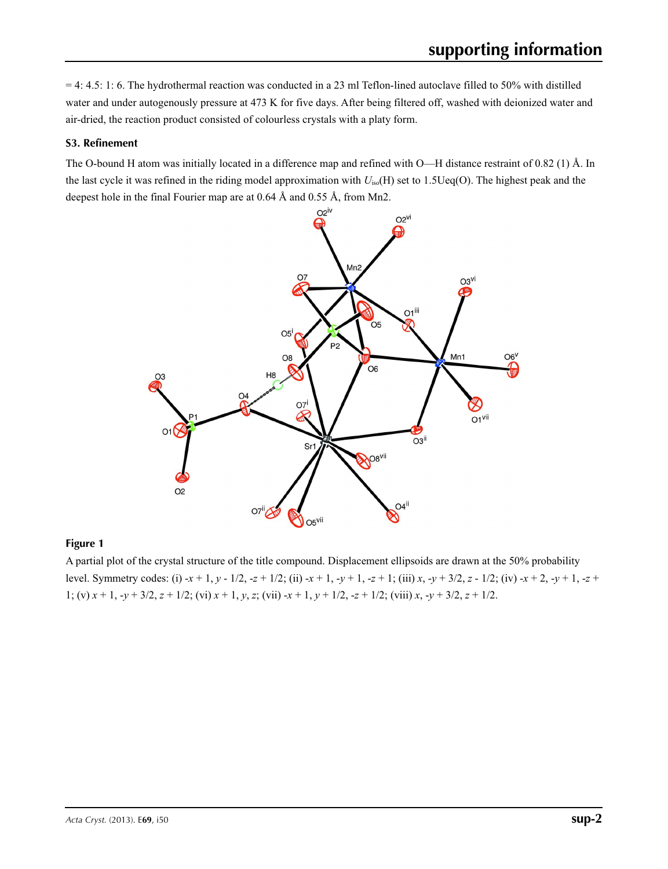$= 4: 4.5: 1: 6$ . The hydrothermal reaction was conducted in a 23 ml Teflon-lined autoclave filled to 50% with distilled water and under autogenously pressure at 473 K for five days. After being filtered off, washed with deionized water and air-dried, the reaction product consisted of colourless crystals with a platy form.

#### **S3. Refinement**

The O-bound H atom was initially located in a difference map and refined with O—H distance restraint of 0.82 (1) Å. In the last cycle it was refined in the riding model approximation with *U*iso(H) set to 1.5Ueq(O). The highest peak and the deepest hole in the final Fourier map are at 0.64 Å and 0.55 Å, from Mn2.



#### **Figure 1**

A partial plot of the crystal structure of the title compound. Displacement ellipsoids are drawn at the 50% probability level. Symmetry codes: (i) -*x* + 1, *y* - 1/2, -*z* + 1/2; (ii) -*x* + 1, -*y* + 1, -*z* + 1; (iii) *x*, -*y* + 3/2, *z* - 1/2; (iv) -*x* + 2, -*y* + 1, -*z* + 1; (v) *x* + 1, -*y* + 3/2, *z* + 1/2; (vi) *x* + 1, *y*, *z*; (vii) -*x* + 1, *y* + 1/2, -*z* + 1/2; (viii) *x*, -*y* + 3/2, *z* + 1/2.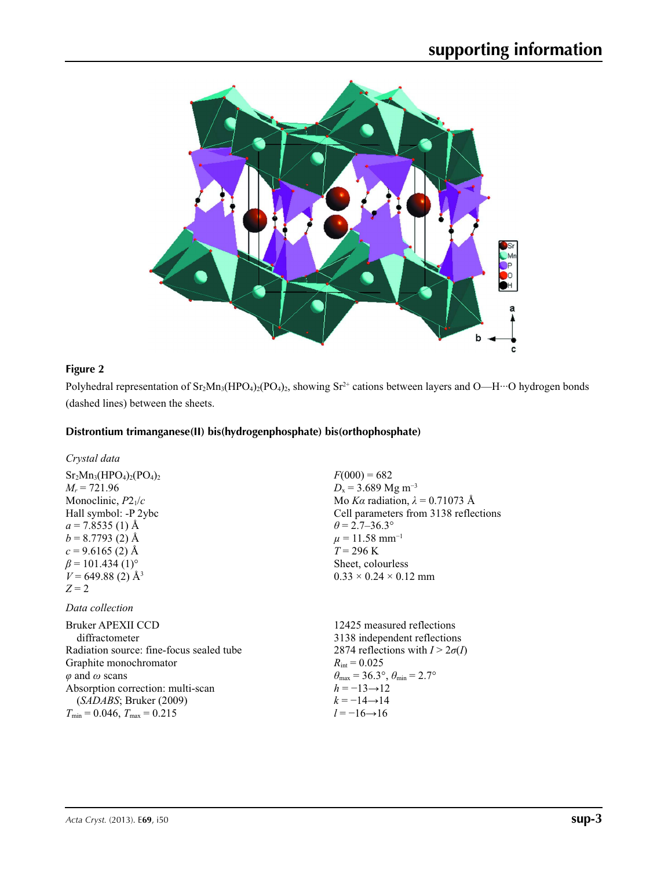

#### **Figure 2**

Polyhedral representation of  $Sr_2Mn_3(HPO_4)_2(PO_4)_2$ , showing  $Sr^{2+}$  cations between layers and O—H···O hydrogen bonds (dashed lines) between the sheets.

#### **Distrontium trimanganese(II) bis(hydrogenphosphate) bis(orthophosphate)**

| Crystal data                       |
|------------------------------------|
| $Sr2Mn3(HPO4)2(PO4)2$              |
| $M_r = 721.96$                     |
| Monoclinic, $P2_1/c$               |
| Hall symbol: -P 2ybc               |
| $a = 7.8535(1)$ Å                  |
| $b = 8.7793$ (2) Å                 |
| $c = 9.6165(2)$ Å                  |
| $\beta$ = 101.434 (1) <sup>o</sup> |
| $V = 649.88(2)$ Å <sup>3</sup>     |
| $Z=2$                              |

### *Data collection*

| <b>Bruker APEXII CCD</b>                 | 12425 mea                  |
|------------------------------------------|----------------------------|
| diffractometer                           | 3138 indep                 |
| Radiation source: fine-focus sealed tube | 2874 reflec                |
| Graphite monochromator                   | $R_{\text{int}} = 0.025$   |
| $\varphi$ and $\omega$ scans             | $\theta_{\rm max}$ = 36.3° |
| Absorption correction: multi-scan        | $h = -13 \rightarrow 1$    |
| (SADABS; Bruker (2009)                   | $k = -14 \rightarrow 1$    |
| $T_{\min}$ = 0.046, $T_{\max}$ = 0.215   | $l = -16 \rightarrow 1$    |
|                                          |                            |

 $F(000) = 682$  $D_x = 3.689$  Mg m<sup>-3</sup> Mo *Kα* radiation, *λ* = 0.71073 Å Cell parameters from 3138 reflections  $\theta = 2.7 - 36.3^{\circ}$  $\mu = 11.58$  mm<sup>-1</sup>  $T = 296 \text{ K}$ Sheet, colourless  $0.33 \times 0.24 \times 0.12$  mm

sured reflections endent reflections  $2\sigma(I)$  reflections with  $I > 2\sigma(I)$  $\theta_{\min} = 2.7^{\circ}$  $\overline{2}$ *k* = −14→14 *l* = −16→16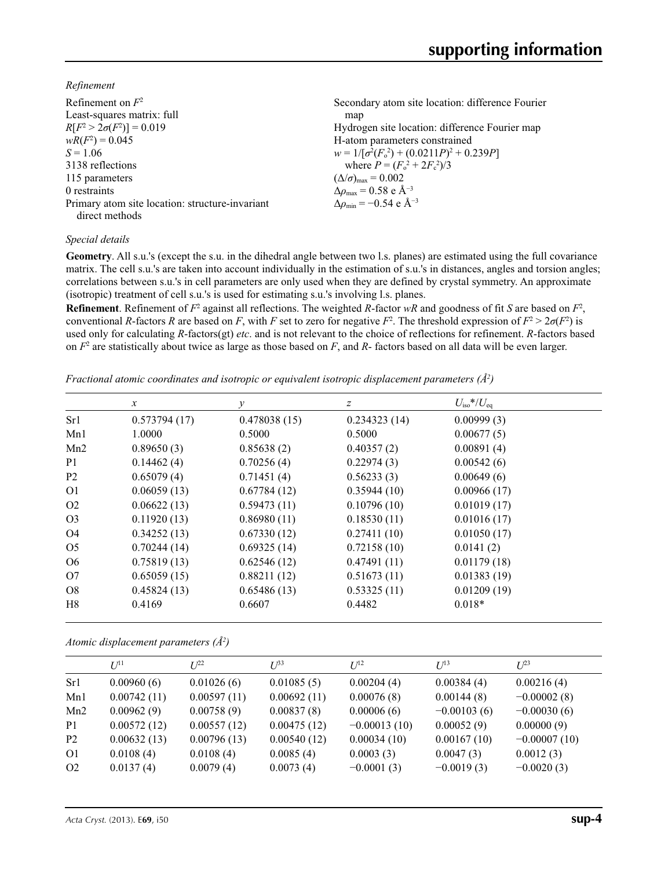*Refinement*

| Refinement on $F^2$                             | Secondary atom site location: difference Fourier  |
|-------------------------------------------------|---------------------------------------------------|
| Least-squares matrix: full                      | map                                               |
| $R[F^2 > 2\sigma(F^2)] = 0.019$                 | Hydrogen site location: difference Fourier map    |
| $wR(F^2) = 0.045$                               | H-atom parameters constrained                     |
| $S = 1.06$                                      | $w = 1/[\sigma^2(F_0^2) + (0.0211P)^2 + 0.239P]$  |
| 3138 reflections                                | where $P = (F_o^2 + 2F_c^2)/3$                    |
| 115 parameters                                  | $(\Delta/\sigma)_{\text{max}} = 0.002$            |
| 0 restraints                                    | $\Delta\rho_{\rm max} = 0.58$ e Å <sup>-3</sup>   |
| Primary atom site location: structure-invariant | $\Delta \rho_{\rm min} = -0.54$ e Å <sup>-3</sup> |
| direct methods                                  |                                                   |

#### *Special details*

**Geometry**. All s.u.'s (except the s.u. in the dihedral angle between two l.s. planes) are estimated using the full covariance matrix. The cell s.u.'s are taken into account individually in the estimation of s.u.'s in distances, angles and torsion angles; correlations between s.u.'s in cell parameters are only used when they are defined by crystal symmetry. An approximate (isotropic) treatment of cell s.u.'s is used for estimating s.u.'s involving l.s. planes.

**Refinement**. Refinement of  $F^2$  against all reflections. The weighted R-factor wR and goodness of fit *S* are based on  $F^2$ , conventional *R*-factors *R* are based on *F*, with *F* set to zero for negative *F*<sup>2</sup>. The threshold expression of  $F^2 > 2\sigma(F^2)$  is used only for calculating *R*-factors(gt) *etc*. and is not relevant to the choice of reflections for refinement. *R*-factors based on *F*<sup>2</sup> are statistically about twice as large as those based on *F*, and *R*- factors based on all data will be even larger.

*Fractional atomic coordinates and isotropic or equivalent isotropic displacement parameters (Å<sup>2</sup>)* 

|                | $\mathcal{X}$ | $\mathcal{Y}$ | Ζ            | $U_{\rm iso} * / U_{\rm eq}$ |
|----------------|---------------|---------------|--------------|------------------------------|
| Sr1            | 0.573794(17)  | 0.478038(15)  | 0.234323(14) | 0.00999(3)                   |
| Mn1            | 1.0000        | 0.5000        | 0.5000       | 0.00677(5)                   |
| Mn2            | 0.89650(3)    | 0.85638(2)    | 0.40357(2)   | 0.00891(4)                   |
| P <sub>1</sub> | 0.14462(4)    | 0.70256(4)    | 0.22974(3)   | 0.00542(6)                   |
| P <sub>2</sub> | 0.65079(4)    | 0.71451(4)    | 0.56233(3)   | 0.00649(6)                   |
| O <sub>1</sub> | 0.06059(13)   | 0.67784(12)   | 0.35944(10)  | 0.00966(17)                  |
| O <sub>2</sub> | 0.06622(13)   | 0.59473(11)   | 0.10796(10)  | 0.01019(17)                  |
| O <sub>3</sub> | 0.11920(13)   | 0.86980(11)   | 0.18530(11)  | 0.01016(17)                  |
| O <sub>4</sub> | 0.34252(13)   | 0.67330(12)   | 0.27411(10)  | 0.01050(17)                  |
| O <sub>5</sub> | 0.70244(14)   | 0.69325(14)   | 0.72158(10)  | 0.0141(2)                    |
| O <sub>6</sub> | 0.75819(13)   | 0.62546(12)   | 0.47491(11)  | 0.01179(18)                  |
| O7             | 0.65059(15)   | 0.88211(12)   | 0.51673(11)  | 0.01383(19)                  |
| O8             | 0.45824(13)   | 0.65486(13)   | 0.53325(11)  | 0.01209(19)                  |
| H8             | 0.4169        | 0.6607        | 0.4482       | $0.018*$                     |

*Atomic displacement parameters (Å2 )*

|                | $U^{11}$    | $L^{p2}$    | $\mathcal{L}^{\beta 3}$ | $U^{12}$       | $U^{13}$      | $L^{23}$       |
|----------------|-------------|-------------|-------------------------|----------------|---------------|----------------|
| Sr1            | 0.00960(6)  | 0.01026(6)  | 0.01085(5)              | 0.00204(4)     | 0.00384(4)    | 0.00216(4)     |
| Mn1            | 0.00742(11) | 0.00597(11) | 0.00692(11)             | 0.00076(8)     | 0.00144(8)    | $-0.00002(8)$  |
| Mn2            | 0.00962(9)  | 0.00758(9)  | 0.00837(8)              | 0.00006(6)     | $-0.00103(6)$ | $-0.00030(6)$  |
| P <sub>1</sub> | 0.00572(12) | 0.00557(12) | 0.00475(12)             | $-0.00013(10)$ | 0.00052(9)    | 0.00000(9)     |
| P <sub>2</sub> | 0.00632(13) | 0.00796(13) | 0.00540(12)             | 0.00034(10)    | 0.00167(10)   | $-0.00007(10)$ |
| O <sub>1</sub> | 0.0108(4)   | 0.0108(4)   | 0.0085(4)               | 0.0003(3)      | 0.0047(3)     | 0.0012(3)      |
| O <sub>2</sub> | 0.0137(4)   | 0.0079(4)   | 0.0073(4)               | $-0.0001(3)$   | $-0.0019(3)$  | $-0.0020(3)$   |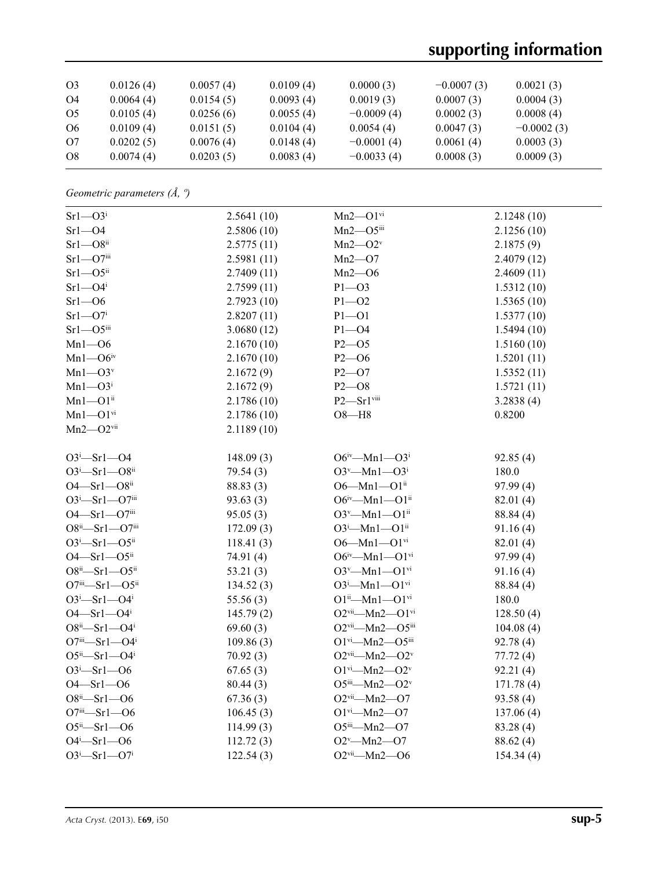# **supporting information**

| O <sub>3</sub> | 0.0126(4) | 0.0057(4) | 0.0109(4) | 0.0000(3)    | $-0.0007(3)$ | 0.0021(3)    |
|----------------|-----------|-----------|-----------|--------------|--------------|--------------|
| O4             | 0.0064(4) | 0.0154(5) | 0.0093(4) | 0.0019(3)    | 0.0007(3)    | 0.0004(3)    |
| O <sub>5</sub> | 0.0105(4) | 0.0256(6) | 0.0055(4) | $-0.0009(4)$ | 0.0002(3)    | 0.0008(4)    |
| O <sub>6</sub> | 0.0109(4) | 0.0151(5) | 0.0104(4) | 0.0054(4)    | 0.0047(3)    | $-0.0002(3)$ |
| O7             | 0.0202(5) | 0.0076(4) | 0.0148(4) | $-0.0001(4)$ | 0.0061(4)    | 0.0003(3)    |
| O8             | 0.0074(4) | 0.0203(5) | 0.0083(4) | $-0.0033(4)$ | 0.0008(3)    | 0.0009(3)    |

*Geometric parameters (Å, º)*

| $Sr1 - O3i$                   | 2.5641(10) | $Mn2 - O1$ <sup>vi</sup>                      | 2.1248(10) |
|-------------------------------|------------|-----------------------------------------------|------------|
| $Sr1 - O4$                    | 2.5806(10) | $Mn2$ — $O5$ iii                              | 2.1256(10) |
| $Sr1 - O8$ <sup>ii</sup>      | 2.5775(11) | $Mn2$ — $O2v$                                 | 2.1875(9)  |
| $Sr1 - O7$ iii                | 2.5981(11) | $Mn2$ —O7                                     | 2.4079(12) |
| $Sr1 - O5$ <sup>ii</sup>      | 2.7409(11) | $Mn2$ —O6                                     | 2.4609(11) |
| $Sr1 - O4$ <sup>i</sup>       | 2.7599(11) | $P1 - O3$                                     | 1.5312(10) |
| $Sr1 - O6$                    | 2.7923(10) | $P1 - O2$                                     | 1.5365(10) |
| $Sr1 - O7$ <sup>i</sup>       | 2.8207(11) | $P1 - O1$                                     | 1.5377(10) |
| $Sr1 - O5$ iii                | 3.0680(12) | $P1 - O4$                                     | 1.5494(10) |
| $Mn1 - 06$                    | 2.1670(10) | $P2 - 05$                                     | 1.5160(10) |
| $Mn1 - O6$ iv                 | 2.1670(10) | $P2 - 06$                                     | 1.5201(11) |
| $Mn1 - O3v$                   | 2.1672(9)  | $P2 - O7$                                     | 1.5352(11) |
| $Mn1 - O3i$                   | 2.1672(9)  | $P2 - O8$                                     | 1.5721(11) |
| $Mn1 - O1$ <sup>ii</sup>      | 2.1786(10) | P2-Srlviii                                    | 3.2838(4)  |
| $Mn1 - O1$ <sup>vi</sup>      | 2.1786(10) | $O8 - H8$                                     | 0.8200     |
| $Mn2$ — $O2$ <sup>vii</sup>   | 2.1189(10) |                                               |            |
|                               |            |                                               |            |
| $O3^i$ -Srl- $O4$             | 148.09(3)  | $O6^{iv}$ —Mn1—O3 <sup>i</sup>                | 92.85(4)   |
| $O3^i$ -Srl- $O8^{ii}$        | 79.54(3)   | $O3^v$ —Mn1— $O3^i$                           | 180.0      |
| $O4 - Sr1 - O8$ ii            | 88.83 (3)  | $O6 - Mn1 - O1$ <sup>ii</sup>                 | 97.99(4)   |
| $O3^i$ -Srl- $O7^{iii}$       | 93.63(3)   | $O6^{iv}$ —Mn1—O1 <sup>ii</sup>               | 82.01(4)   |
| $O4 - Sr1 - O7$ iii           | 95.05(3)   | $O3^v$ —Mn1—O1 <sup>ii</sup>                  | 88.84 (4)  |
| $O8^{ii} - Sr1 - O7^{iii}$    | 172.09(3)  | $O3^i$ -Mn1- $O1^{ii}$                        | 91.16(4)   |
| $O3^i$ -Srl- $O5^{ii}$        | 118.41(3)  | $O6 - Mn1 - O1$ <sup>vi</sup>                 | 82.01(4)   |
| $O4 - Sr1 - O5$ <sup>ii</sup> | 74.91 (4)  | $O6^{iv}$ -Mn1- $O1^{vi}$                     | 97.99(4)   |
| $O8^{ii} - Sr1 - O5^{ii}$     | 53.21(3)   | $O3^v$ —Mn1— $O1^{vi}$                        | 91.16(4)   |
| $O7^{iii}$ -Srl- $O5^{ii}$    | 134.52(3)  | $O3^i$ -Mn1- $O1$ <sup>vi</sup>               | 88.84 (4)  |
| $O3^i$ -Srl- $O4^i$           | 55.56(3)   | $O1^{ii}$ —Mn $1$ — $O1^{vi}$                 | 180.0      |
| $O4 - Sr1 - O4$ <sup>i</sup>  | 145.79(2)  | $O2^{vii}$ —Mn2— $O1^{vi}$                    | 128.50(4)  |
| $O8^{ii} - Sr1 - O4^{i}$      | 69.60(3)   | $O2$ <sup>vii</sup> —Mn2— $O5$ <sup>iii</sup> | 104.08(4)  |
| $O7^{iii} - Sr1 - O4^{i}$     | 109.86(3)  | $O1$ <sup>vi</sup> -Mn2- $O5$ <sup>iii</sup>  | 92.78(4)   |
| $O5^{ii} - Sr1 - O4^{i}$      | 70.92(3)   | $O2$ <sup>vii</sup> -Mn2- $O2^v$              | 77.72(4)   |
| $O3^i$ -Srl- $O6$             | 67.65(3)   | $O1^{vi}$ —Mn2— $O2^v$                        | 92.21(4)   |
| $O4 - Sr1 - O6$               | 80.44(3)   | $O5^{iii}$ -Mn2- $O2^v$                       | 171.78(4)  |
| $O8^{ii} - Sr1 - O6$          | 67.36(3)   | $O2$ <sup>vii</sup> —Mn2—O7                   | 93.58(4)   |
| $O7^{iii} - Sr1 - O6$         | 106.45(3)  | $O1$ <sup>vi</sup> -Mn2- $O7$                 | 137.06(4)  |
| $O5^{ii} - Sr1 - O6$          | 114.99(3)  | $O5^{iii}$ -Mn2- $O7$                         | 83.28 (4)  |
| $O4^i$ -Srl- $O6$             | 112.72(3)  | $O2^v$ -Mn2- $O7$                             | 88.62(4)   |
| $O3^i$ -Srl- $O7^i$           | 122.54(3)  | $O2$ <sup>vii</sup> -Mn2- $O6$                | 154.34(4)  |